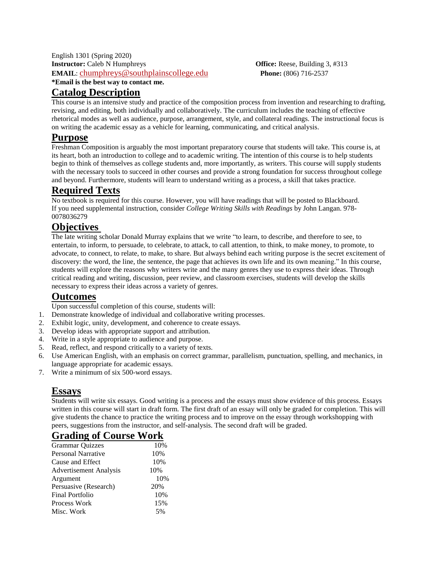English 1301 (Spring 2020) **Instructor:** Caleb N Humphreys **Office:** Reese, Building 3, #313 **EMAIL**: [chumphreys@southplainscollege.edu](mailto:chumphreys@southplainscollege.edu) **Phone:** (806) 716-2537 **\*Email is the best way to contact me.**

#### **Catalog Description**

This course is an intensive study and practice of the composition process from invention and researching to drafting, revising, and editing, both individually and collaboratively. The curriculum includes the teaching of effective rhetorical modes as well as audience, purpose, arrangement, style, and collateral readings. The instructional focus is on writing the academic essay as a vehicle for learning, communicating, and critical analysis.

### **Purpose**

Freshman Composition is arguably the most important preparatory course that students will take. This course is, at its heart, both an introduction to college and to academic writing. The intention of this course is to help students begin to think of themselves as college students and, more importantly, as writers. This course will supply students with the necessary tools to succeed in other courses and provide a strong foundation for success throughout college and beyond. Furthermore, students will learn to understand writing as a process, a skill that takes practice.

# **Required Texts**

No textbook is required for this course. However, you will have readings that will be posted to Blackboard. If you need supplemental instruction, consider *College Writing Skills with Readings* by John Langan. 978- 0078036279

# **Objectives**

The late writing scholar Donald Murray explains that we write "to learn, to describe, and therefore to see, to entertain, to inform, to persuade, to celebrate, to attack, to call attention, to think, to make money, to promote, to advocate, to connect, to relate, to make, to share. But always behind each writing purpose is the secret excitement of discovery: the word, the line, the sentence, the page that achieves its own life and its own meaning." In this course, students will explore the reasons why writers write and the many genres they use to express their ideas. Through critical reading and writing, discussion, peer review, and classroom exercises, students will develop the skills necessary to express their ideas across a variety of genres.

## **Outcomes**

Upon successful completion of this course, students will:

- 1. Demonstrate knowledge of individual and collaborative writing processes.
- 2. Exhibit logic, unity, development, and coherence to create essays.
- 3. Develop ideas with appropriate support and attribution.
- 4. Write in a style appropriate to audience and purpose.
- 5. Read, reflect, and respond critically to a variety of texts.
- 6. Use American English, with an emphasis on correct grammar, parallelism, punctuation, spelling, and mechanics, in language appropriate for academic essays.
- 7. Write a minimum of six 500-word essays.

## **Essays**

Students will write six essays. Good writing is a process and the essays must show evidence of this process. Essays written in this course will start in draft form. The first draft of an essay will only be graded for completion. This will give students the chance to practice the writing process and to improve on the essay through workshopping with peers, suggestions from the instructor, and self-analysis. The second draft will be graded.

| <b>Grading of Course Work</b> |     |
|-------------------------------|-----|
| <b>Grammar Quizzes</b>        | 10% |
| Personal Narrative            | 10% |
| Cause and Effect              | 10% |
| <b>Advertisement Analysis</b> | 10% |
| Argument                      | 10% |
| Persuasive (Research)         | 20% |
| <b>Final Portfolio</b>        | 10% |
| Process Work                  | 15% |
| Misc. Work                    | 5%  |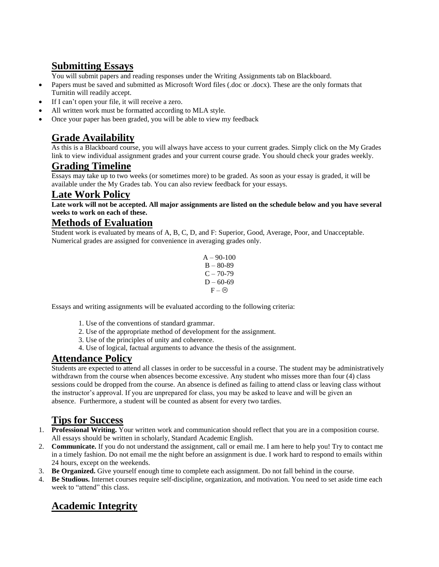# **Submitting Essays**

You will submit papers and reading responses under the Writing Assignments tab on Blackboard.

- Papers must be saved and submitted as Microsoft Word files (.doc or .docx). These are the only formats that Turnitin will readily accept.
- If I can't open your file, it will receive a zero.
- All written work must be formatted according to MLA style.
- Once your paper has been graded, you will be able to view my feedback

# **Grade Availability**

As this is a Blackboard course, you will always have access to your current grades. Simply click on the My Grades link to view individual assignment grades and your current course grade. You should check your grades weekly.

### **Grading Timeline**

Essays may take up to two weeks (or sometimes more) to be graded. As soon as your essay is graded, it will be available under the My Grades tab. You can also review feedback for your essays.

#### **Late Work Policy**

Late work will not be accepted. All major assignments are listed on the schedule below and you have several **weeks to work on each of these.**

#### **Methods of Evaluation**

Student work is evaluated by means of A, B, C, D, and F: Superior, Good, Average, Poor, and Unacceptable. Numerical grades are assigned for convenience in averaging grades only.

```
A - 90-100B - 80 - 89C - 70-79D - 60-69F = \otimes
```
Essays and writing assignments will be evaluated according to the following criteria:

- 1. Use of the conventions of standard grammar.
- 2. Use of the appropriate method of development for the assignment.
- 3. Use of the principles of unity and coherence.
- 4. Use of logical, factual arguments to advance the thesis of the assignment.

#### **Attendance Policy**

Students are expected to attend all classes in order to be successful in a course. The student may be administratively withdrawn from the course when absences become excessive. Any student who misses more than four (4) class sessions could be dropped from the course. An absence is defined as failing to attend class or leaving class without the instructor's approval. If you are unprepared for class, you may be asked to leave and will be given an absence. Furthermore, a student will be counted as absent for every two tardies.

# **Tips for Success**

- 1. **Professional Writing.** Your written work and communication should reflect that you are in a composition course. All essays should be written in scholarly, Standard Academic English.
- 2. **Communicate.** If you do not understand the assignment, call or email me. I am here to help you! Try to contact me in a timely fashion. Do not email me the night before an assignment is due. I work hard to respond to emails within 24 hours, except on the weekends.
- 3. **Be Organized.** Give yourself enough time to complete each assignment. Do not fall behind in the course.
- 4. **Be Studious.** Internet courses require self-discipline, organization, and motivation. You need to set aside time each week to "attend" this class.

# **Academic Integrity**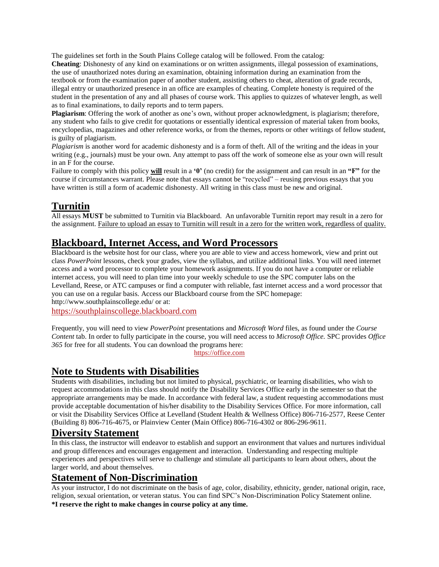The guidelines set forth in the South Plains College catalog will be followed. From the catalog:

**Cheating**: Dishonesty of any kind on examinations or on written assignments, illegal possession of examinations, the use of unauthorized notes during an examination, obtaining information during an examination from the textbook or from the examination paper of another student, assisting others to cheat, alteration of grade records, illegal entry or unauthorized presence in an office are examples of cheating. Complete honesty is required of the student in the presentation of any and all phases of course work. This applies to quizzes of whatever length, as well as to final examinations, to daily reports and to term papers.

**Plagiarism**: Offering the work of another as one's own, without proper acknowledgment, is plagiarism; therefore, any student who fails to give credit for quotations or essentially identical expression of material taken from books, encyclopedias, magazines and other reference works, or from the themes, reports or other writings of fellow student, is guilty of plagiarism.

*Plagiarism* is another word for academic dishonesty and is a form of theft. All of the writing and the ideas in your writing (e.g., journals) must be your own. Any attempt to pass off the work of someone else as your own will result in an F for the course.

Failure to comply with this policy **will** result in a **'0'** (no credit) for the assignment and can result in an **"F"** for the course if circumstances warrant. Please note that essays cannot be "recycled" – reusing previous essays that you have written is still a form of academic dishonesty. All writing in this class must be new and original.

# **Turnitin**

All essays **MUST** be submitted to Turnitin via Blackboard. An unfavorable Turnitin report may result in a zero for the assignment. Failure to upload an essay to Turnitin will result in a zero for the written work, regardless of quality.

### **Blackboard, Internet Access, and Word Processors**

Blackboard is the website host for our class, where you are able to view and access homework, view and print out class *PowerPoint* lessons, check your grades, view the syllabus, and utilize additional links. You will need internet access and a word processor to complete your homework assignments. If you do not have a computer or reliable internet access, you will need to plan time into your weekly schedule to use the SPC computer labs on the Levelland, Reese, or ATC campuses or find a computer with reliable, fast internet access and a word processor that you can use on a regular basis. Access our Blackboard course from the SPC homepage:

http://www.southplainscollege.edu/ or at:

[https://southplainscollege.blackboard.com](https://southplainscollege.blackboard.com/)

Frequently, you will need to view *PowerPoint* presentations and *Microsoft Word* files, as found under the *Course Content* tab. In order to fully participate in the course, you will need access to *Microsoft Office.* SPC provides *Office 365* for free for all students. You can download the programs here:

[https://office.com](https://office.com/)

## **Note to Students with Disabilities**

Students with disabilities, including but not limited to physical, psychiatric, or learning disabilities, who wish to request accommodations in this class should notify the Disability Services Office early in the semester so that the appropriate arrangements may be made. In accordance with federal law, a student requesting accommodations must provide acceptable documentation of his/her disability to the Disability Services Office. For more information, call or visit the Disability Services Office at Levelland (Student Health & Wellness Office) 806-716-2577, Reese Center (Building 8) 806-716-4675, or Plainview Center (Main Office) 806-716-4302 or 806-296-9611.

#### **Diversity Statement**

In this class, the instructor will endeavor to establish and support an environment that values and nurtures individual and group differences and encourages engagement and interaction. Understanding and respecting multiple experiences and perspectives will serve to challenge and stimulate all participants to learn about others, about the larger world, and about themselves.

## **Statement of Non-Discrimination**

As your instructor, I do not discriminate on the basis of age, color, disability, ethnicity, gender, national origin, race, religion, sexual orientation, or veteran status. You can find SPC's Non-Discrimination Policy Statement online. **\*I reserve the right to make changes in course policy at any time.**